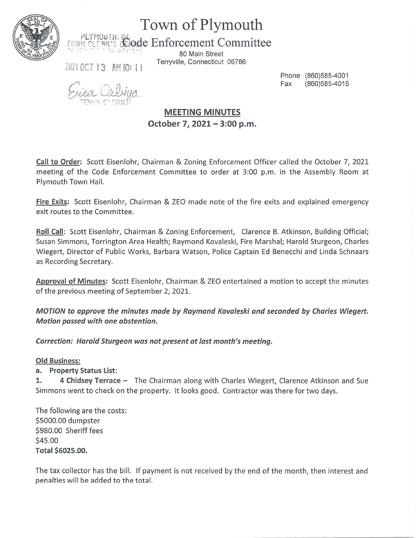

## Town of Plymouth

 $\mathcal{P} \mathsf{L}\mathsf{Y}\mathsf{M}\mathsf{O}\mathsf{U}\mathsf{T}\mathsf{H}.$ *Code Enforcement Committee* 

> 80 Main Street Terryville, Connecticut 06786

2021 OCT 13 AM IO: 11

ng W

Phone (860)585-4001 Fax (860)585-4015

MEETING MINUTES October 7, 2021- 3:00 p.m.

Call to Order: Scott Eisenlohr, Chairman & Zoning Enforcement Officer called the October 7, 2021 meeting of the Code Enforcement Committee to order at 3:00 p.m. in the Assembly Room at Plymouth Town Hall.

Fire Exits: Scott Eisenlohr, Chairman & ZEO made note of the fire exits and explained emergency exit routes to the Committee.

Roll Call: Scott Eisenlohr, Chairman & Zoning Enforcement, Clarence B. Atkinson, Building Official; Susan Simmons, Torrington Area Health; Raymond Kovaleski, Fire Marshal; Harold Sturgeon, Charles Wiegert, Director of Public Works, Barbara Watson, Police Captain Ed Benecchi and Linda Schnaars as Recording Secretary.

Approval of Minutes: Scott Eisenlohr, Chairman & ZEO entertained a motion to accept the minutes of the previous meeting of September 2, 2021.

MOTION to approve the minutes made by Raymond Kovaleski and seconded by Charles Wiegert. Motion passed with one abstention.

Correction: Harold Sturgeon was not present at last month's meeting.

Old Business:

a. Property Status List:

1. 4 Chidsey Terrace - The Chairman along with Charles Wiegert, Clarence Atkinson and Sue Simmons went to check on the property. It looks good. Contractor was there for two days.

The following are the costs: \$5000.00 dumpster \$980.00 Sheriff fees \$45.00 Total \$6025.00.

The tax collector has the bill. If payment is not received by the end of the month, then interest and penalties will be added to the total.